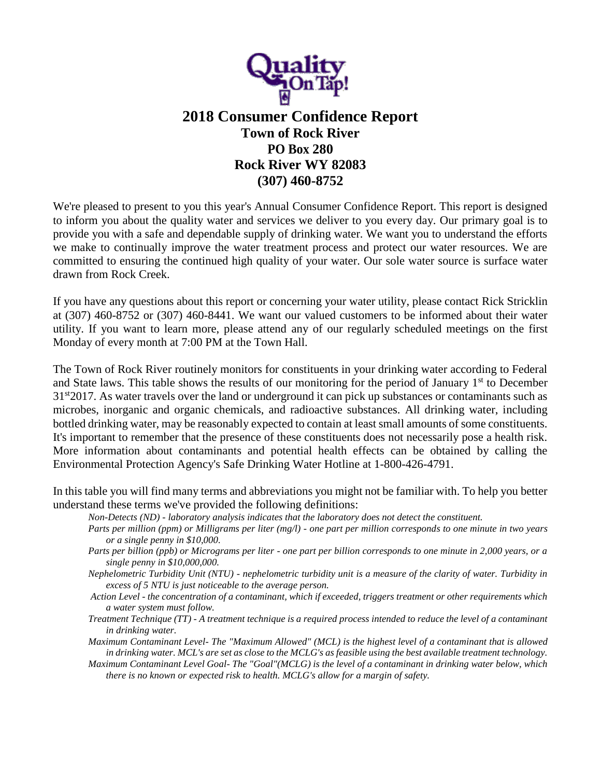

## **2018 Consumer Confidence Report Town of Rock River PO Box 280 Rock River WY 82083 (307) 460-8752**

We're pleased to present to you this year's Annual Consumer Confidence Report. This report is designed to inform you about the quality water and services we deliver to you every day. Our primary goal is to provide you with a safe and dependable supply of drinking water. We want you to understand the efforts we make to continually improve the water treatment process and protect our water resources. We are committed to ensuring the continued high quality of your water. Our sole water source is surface water drawn from Rock Creek.

If you have any questions about this report or concerning your water utility, please contact Rick Stricklin at (307) 460-8752 or (307) 460-8441. We want our valued customers to be informed about their water utility. If you want to learn more, please attend any of our regularly scheduled meetings on the first Monday of every month at 7:00 PM at the Town Hall.

The Town of Rock River routinely monitors for constituents in your drinking water according to Federal and State laws. This table shows the results of our monitoring for the period of January  $1<sup>st</sup>$  to December 31st2017. As water travels over the land or underground it can pick up substances or contaminants such as microbes, inorganic and organic chemicals, and radioactive substances. All drinking water, including bottled drinking water, may be reasonably expected to contain at least small amounts of some constituents. It's important to remember that the presence of these constituents does not necessarily pose a health risk. More information about contaminants and potential health effects can be obtained by calling the Environmental Protection Agency's Safe Drinking Water Hotline at 1-800-426-4791.

In this table you will find many terms and abbreviations you might not be familiar with. To help you better understand these terms we've provided the following definitions:

- *Non-Detects (ND) - laboratory analysis indicates that the laboratory does not detect the constituent.*
- *Parts per million (ppm) or Milligrams per liter (mg/l) - one part per million corresponds to one minute in two years or a single penny in \$10,000.*
- *Parts per billion (ppb) or Micrograms per liter - one part per billion corresponds to one minute in 2,000 years, or a single penny in \$10,000,000.*
- *Nephelometric Turbidity Unit (NTU) - nephelometric turbidity unit is a measure of the clarity of water. Turbidity in excess of 5 NTU is just noticeable to the average person.*
- *Action Level - the concentration of a contaminant, which if exceeded, triggers treatment or other requirements which a water system must follow.*
- *Treatment Technique (TT) - A treatment technique is a required process intended to reduce the level of a contaminant in drinking water.*
- *Maximum Contaminant Level- The "Maximum Allowed" (MCL) is the highest level of a contaminant that is allowed in drinking water. MCL's are set as close to the MCLG's as feasible using the best available treatment technology.*
- *Maximum Contaminant Level Goal- The "Goal"(MCLG) is the level of a contaminant in drinking water below, which there is no known or expected risk to health. MCLG's allow for a margin of safety.*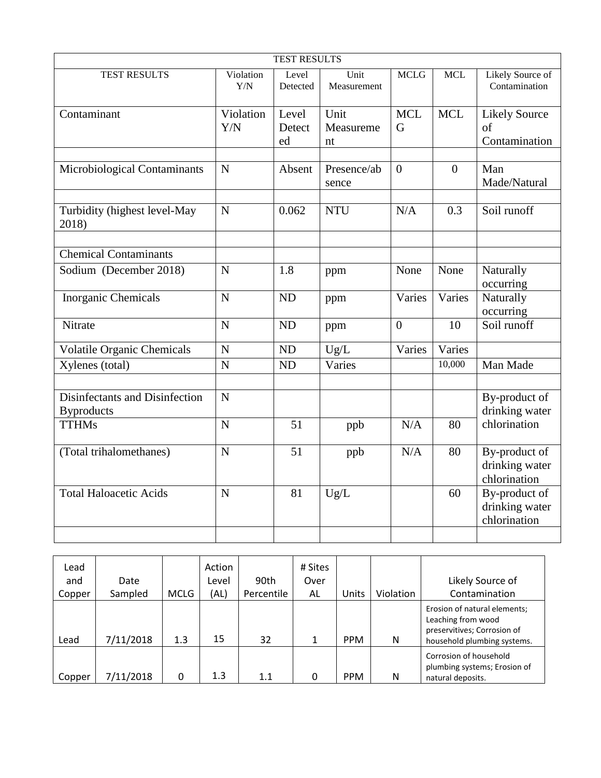| <b>TEST RESULTS</b>                                 |                  |                       |                         |                           |                |                                                     |  |  |  |  |
|-----------------------------------------------------|------------------|-----------------------|-------------------------|---------------------------|----------------|-----------------------------------------------------|--|--|--|--|
| TEST RESULTS                                        | Violation<br>Y/N | Level<br>Detected     | Unit<br>Measurement     | <b>MCLG</b><br><b>MCL</b> |                | Likely Source of<br>Contamination                   |  |  |  |  |
| Contaminant                                         | Violation<br>Y/N | Level<br>Detect<br>ed | Unit<br>Measureme<br>nt | <b>MCL</b><br>G           | <b>MCL</b>     | <b>Likely Source</b><br>$\sigma$ f<br>Contamination |  |  |  |  |
| Microbiological Contaminants                        | $\mathbf N$      | Absent                | Presence/ab<br>sence    | $\theta$                  | $\overline{0}$ | Man<br>Made/Natural                                 |  |  |  |  |
| Turbidity (highest level-May<br>2018)               | $\mathbf N$      | 0.062                 | <b>NTU</b>              | N/A                       | 0.3            | Soil runoff                                         |  |  |  |  |
| <b>Chemical Contaminants</b>                        |                  |                       |                         |                           |                |                                                     |  |  |  |  |
| Sodium (December 2018)                              | $\mathbf N$      | 1.8                   | ppm                     | None                      | None           | Naturally<br>occurring                              |  |  |  |  |
| Inorganic Chemicals                                 | $\mathbf N$      | <b>ND</b>             | ppm                     | Varies                    | Varies         | Naturally<br>occurring                              |  |  |  |  |
| Nitrate                                             | $\mathbf N$      | <b>ND</b>             | ppm                     | $\theta$                  | 10             | Soil runoff                                         |  |  |  |  |
| <b>Volatile Organic Chemicals</b>                   | $\mathbf N$      | ND                    | Ug/L                    | Varies                    | Varies         |                                                     |  |  |  |  |
| Xylenes (total)                                     | $\mathbf N$      | <b>ND</b>             | Varies                  |                           | 10,000         | Man Made                                            |  |  |  |  |
| Disinfectants and Disinfection<br><b>Byproducts</b> | $\mathbf N$      |                       |                         |                           |                | By-product of<br>drinking water                     |  |  |  |  |
| <b>TTHMs</b>                                        | $\overline{N}$   | 51                    | ppb                     | N/A                       | 80             | chlorination                                        |  |  |  |  |
| (Total trihalomethanes)                             | $\overline{N}$   | 51                    | ppb                     | N/A                       | 80             | By-product of<br>drinking water<br>chlorination     |  |  |  |  |
| <b>Total Haloacetic Acids</b>                       | $\mathbf N$      | 81                    | Ug/L                    |                           | 60             | By-product of<br>drinking water<br>chlorination     |  |  |  |  |
|                                                     |                  |                       |                         |                           |                |                                                     |  |  |  |  |

| Lead   |           |             | Action |            | # Sites |              |           |                                                                                                                  |
|--------|-----------|-------------|--------|------------|---------|--------------|-----------|------------------------------------------------------------------------------------------------------------------|
| and    | Date      |             | Level  | 90th       | Over    |              |           | Likely Source of                                                                                                 |
| Copper | Sampled   | <b>MCLG</b> | (AL)   | Percentile | AL      | <b>Units</b> | Violation | Contamination                                                                                                    |
| Lead   | 7/11/2018 | 1.3         | 15     | 32         |         | <b>PPM</b>   | N         | Erosion of natural elements;<br>Leaching from wood<br>preservitives; Corrosion of<br>household plumbing systems. |
| Copper | 7/11/2018 | 0           | 1.3    | 1.1        | 0       | <b>PPM</b>   | N         | Corrosion of household<br>plumbing systems; Erosion of<br>natural deposits.                                      |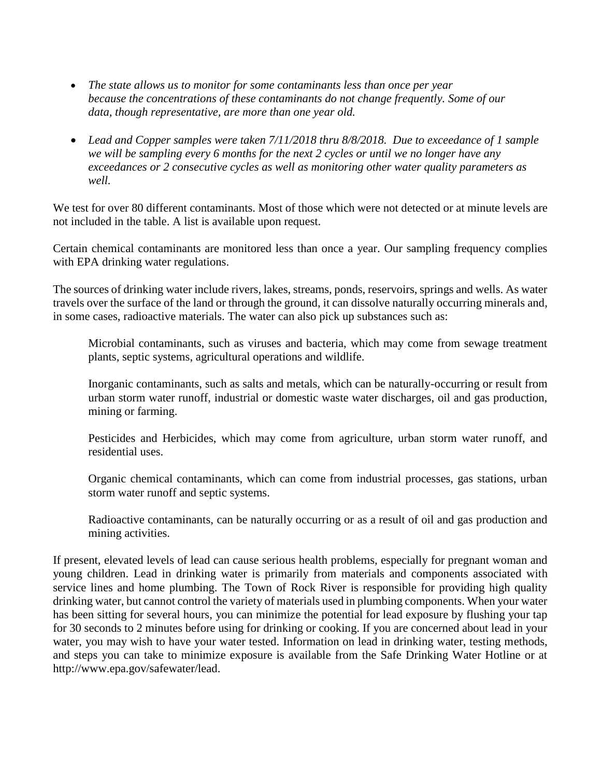- *The state allows us to monitor for some contaminants less than once per year because the concentrations of these contaminants do not change frequently. Some of our data, though representative, are more than one year old.*
- *Lead and Copper samples were taken 7/11/2018 thru 8/8/2018. Due to exceedance of 1 sample we will be sampling every 6 months for the next 2 cycles or until we no longer have any exceedances or 2 consecutive cycles as well as monitoring other water quality parameters as well.*

We test for over 80 different contaminants. Most of those which were not detected or at minute levels are not included in the table. A list is available upon request.

Certain chemical contaminants are monitored less than once a year. Our sampling frequency complies with EPA drinking water regulations.

The sources of drinking water include rivers, lakes, streams, ponds, reservoirs, springs and wells. As water travels over the surface of the land or through the ground, it can dissolve naturally occurring minerals and, in some cases, radioactive materials. The water can also pick up substances such as:

Microbial contaminants, such as viruses and bacteria, which may come from sewage treatment plants, septic systems, agricultural operations and wildlife.

Inorganic contaminants, such as salts and metals, which can be naturally-occurring or result from urban storm water runoff, industrial or domestic waste water discharges, oil and gas production, mining or farming.

Pesticides and Herbicides, which may come from agriculture, urban storm water runoff, and residential uses.

Organic chemical contaminants, which can come from industrial processes, gas stations, urban storm water runoff and septic systems.

Radioactive contaminants, can be naturally occurring or as a result of oil and gas production and mining activities.

If present, elevated levels of lead can cause serious health problems, especially for pregnant woman and young children. Lead in drinking water is primarily from materials and components associated with service lines and home plumbing. The Town of Rock River is responsible for providing high quality drinking water, but cannot control the variety of materials used in plumbing components. When your water has been sitting for several hours, you can minimize the potential for lead exposure by flushing your tap for 30 seconds to 2 minutes before using for drinking or cooking. If you are concerned about lead in your water, you may wish to have your water tested. Information on lead in drinking water, testing methods, and steps you can take to minimize exposure is available from the Safe Drinking Water Hotline or at http://www.epa.gov/safewater/lead.